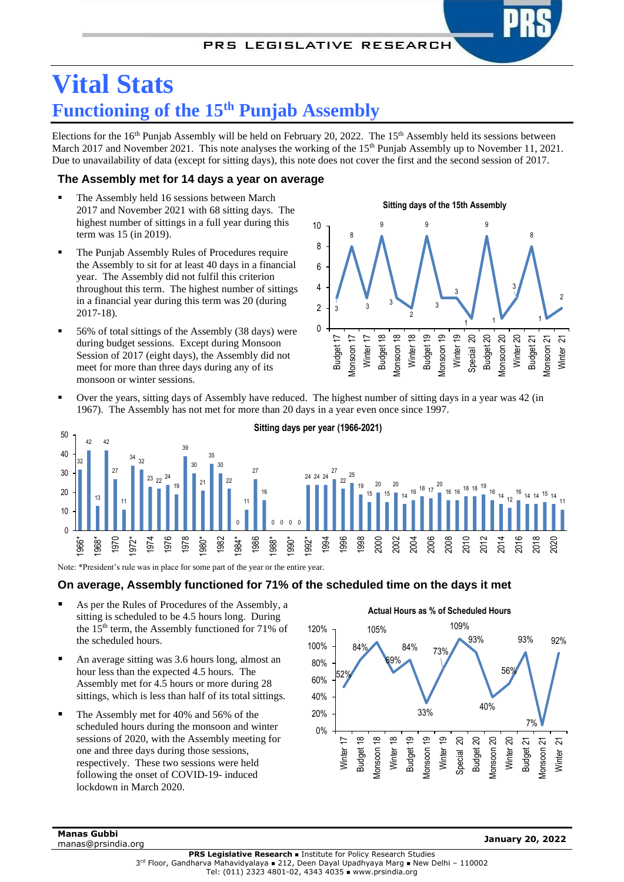# **Vital Stats Functioning of the 15 th Punjab Assembly**

Elections for the  $16<sup>th</sup>$  Punjab Assembly will be held on February 20, 2022. The  $15<sup>th</sup>$  Assembly held its sessions between March 2017 and November 2021. This note analyses the working of the 15<sup>th</sup> Punjab Assembly up to November 11, 2021. Due to unavailability of data (except for sitting days), this note does not cover the first and the second session of 2017.

## **The Assembly met for 14 days a year on average**

- The Assembly held 16 sessions between March 2017 and November 2021 with 68 sitting days. The highest number of sittings in a full year during this term was 15 (in 2019).
- The Punjab Assembly Rules of Procedures require the Assembly to sit for at least 40 days in a financial year. The Assembly did not fulfil this criterion throughout this term. The highest number of sittings in a financial year during this term was 20 (during 2017-18).
- 56% of total sittings of the Assembly (38 days) were during budget sessions. Except during Monsoon Session of 2017 (eight days), the Assembly did not meet for more than three days during any of its monsoon or winter sessions.



Over the years, sitting days of Assembly have reduced. The highest number of sitting days in a year was 42 (in 1967). The Assembly has not met for more than 20 days in a year even once since 1997.



Note: \*President's rule was in place for some part of the year or the entire year.

### **On average, Assembly functioned for 71% of the scheduled time on the days it met**

- As per the Rules of Procedures of the Assembly, a sitting is scheduled to be 4.5 hours long. During the 15th term, the Assembly functioned for 71% of the scheduled hours.
- An average sitting was 3.6 hours long, almost an hour less than the expected 4.5 hours. The Assembly met for 4.5 hours or more during 28 sittings, which is less than half of its total sittings.
- The Assembly met for 40% and 56% of the scheduled hours during the monsoon and winter sessions of 2020, with the Assembly meeting for one and three days during those sessions, respectively. These two sessions were held following the onset of COVID-19- induced lockdown in March 2020.



**Manas Gubbi** manas@prsindia.org **January 20, <sup>2022</sup>**

**PRS Legislative Research ■ Institute for Policy Research Studies** 3 rd Floor, Gandharva Mahavidyalaya <sup>◼</sup> 212, Deen Dayal Upadhyaya Marg <sup>◼</sup> New Delhi – 110002 Tel: (011) 2323 4801-02, 4343 4035 ◼ www.prsindia.org